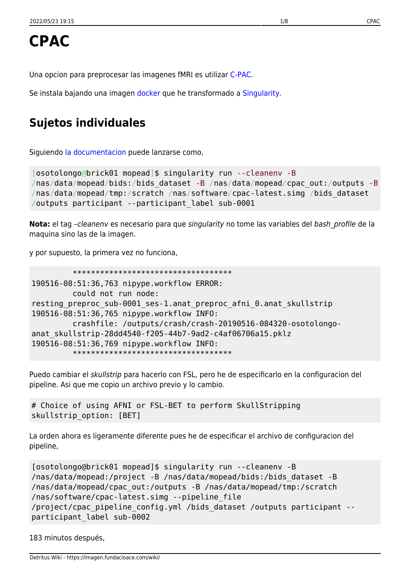Una opcion para preprocesar las imagenes fMRI es utilizar [C-PAC.](http://fcp-indi.github.io/docs/user/index.html)

Se instala bajando una imagen [docker](https://www.docker.com/) que he transformado a [Singularity.](https://www.sylabs.io/)

# **Sujetos individuales**

Siguiendo [la documentacion](http://fcp-indi.github.io/docs/user/quick.html#running-on-singularity) puede lanzarse como,

```
[osotolongo@brick01 mopead]$ singularity run --cleanenv -B
/nas/data/mopead/bids:/bids_dataset -B /nas/data/mopead/cpac_out:/outputs -B
/nas/data/mopead/tmp:/scratch /nas/software/cpac-latest.simg /bids_dataset
/outputs participant --participant_label sub-0001
```
Nota: el tag -cleaneny es necesario para que singularity no tome las variables del bash profile de la maquina sino las de la imagen.

y por supuesto, la primera vez no funciona,

```
 ***********************************
190516-08:51:36,763 nipype.workflow ERROR:
          could not run node:
resting preproc sub-0001 ses-1.anat preproc afni 0.anat skullstrip
190516-08:51:36,765 nipype.workflow INFO:
          crashfile: /outputs/crash/crash-20190516-084320-osotolongo-
anat_skullstrip-28dd4540-f205-44b7-9ad2-c4af06706a15.pklz
190516-08:51:36,769 nipype.workflow INFO:
          ***********************************
```
Puedo cambiar el skullstrip para hacerlo con FSL, pero he de especificarlo en la configuracion del pipeline. Asi que me copio un archivo previo y lo cambio.

```
# Choice of using AFNI or FSL-BET to perform SkullStripping
skullstrip_option: [BET]
```
La orden ahora es ligeramente diferente pues he de especificar el archivo de configuracion del pipeline,

```
[osotolongo@brick01 mopead]$ singularity run --cleanenv -B
/nas/data/mopead:/project -B /nas/data/mopead/bids:/bids_dataset -B
/nas/data/mopead/cpac_out:/outputs -B /nas/data/mopead/tmp:/scratch
/nas/software/cpac-latest.simg --pipeline_file
/project/cpac_pipeline_config.yml /bids_dataset /outputs participant --
participant_label sub-0002
```
183 minutos después,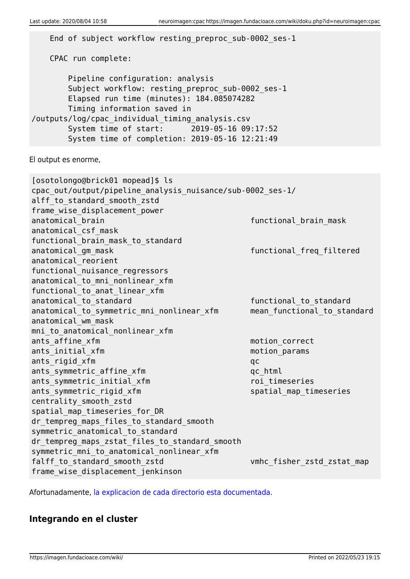```
 End of subject workflow resting_preproc_sub-0002_ses-1
    CPAC run complete:
        Pipeline configuration: analysis
       Subject workflow: resting preproc sub-0002 ses-1
        Elapsed run time (minutes): 184.085074282
        Timing information saved in
/outputs/log/cpac_individual_timing_analysis.csv
        System time of start: 2019-05-16 09:17:52
        System time of completion: 2019-05-16 12:21:49
El output es enorme,
[osotolongo@brick01 mopead]$ ls
cpac_out/output/pipeline_analysis_nuisance/sub-0002_ses-1/
alff to standard smooth zstd
frame wise displacement power
anatomical brain functional brain mask
anatomical_csf_mask
functional brain mask to standard
anatomical gm mask functional freq filtered
anatomical_reorient
functional nuisance regressors
anatomical to mni nonlinear xfm
functional to anat linear xfm
anatomical to standard in the standard functional to standard
anatomical_to_symmetric_mni_nonlinear_xfm mean_functional_to_standard
anatomical_wm_mask
mni to anatomical nonlinear xfm
ants affine xfm and contract the motion correct
ants initial xfm motion params
ants rigid xfm qc
ants symmetric affine xfm qc html
ants symmetric initial xfm roi timeseries
ants symmetric rigid xfm subsection of the spatial map timeseries
centrality_smooth_zstd
spatial map timeseries for DR
dr tempreg maps files to standard smooth
symmetric anatomical to standard
dr tempreg maps zstat files to standard smooth
symmetric mni to anatomical nonlinear xfm
falff_to_standard_smooth_zstd vmhc_fisher_zstd_zstat_map
frame_wise_displacement_jenkinson
```
Afortunadamente, [la explicacion de cada directorio esta documentada.](http://fcp-indi.github.io/docs/user/output_dir.html)

## **Integrando en el cluster**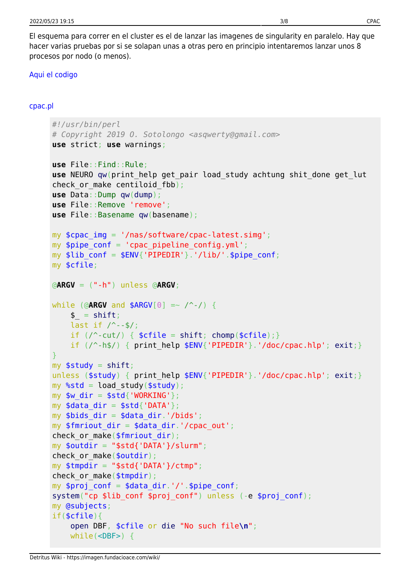El esquema para correr en el cluster es el de lanzar las imagenes de singularity en paralelo. Hay que hacer varias pruebas por si se solapan unas a otras pero en principio intentaremos lanzar unos 8 procesos por nodo (o menos).

#### [Aqui el codigo](#page--1-0)

#### [cpac.pl](https://imagen.fundacioace.com/wiki/doku.php?do=export_code&id=neuroimagen:cpac&codeblock=6)

```
#!/usr/bin/perl
# Copyright 2019 O. Sotolongo <asqwerty@gmail.com>
use strict; use warnings;
use File::Find::Rule;
use NEURO qw(print_help get_pair load_study achtung shit_done get_lut
check or make centiloid fbb);
use Data::Dump qw(dump);
use File::Remove 'remove';
use File::Basename qw(basename);
my $cpac_img = '/nas/software/cpac-latest.simg';
my $pipe conf = 'cpac pipeline config.yml';
my $lib cont = $ENV{'PIPEDIR'}.'/lib/'.$pipe conf;
my $cfile;
@ARGV = ("-h") unless @ARGV;
while (@ARGV and $ARGV[0] =~ /^-/) {
   shift;last if / --$/;
   if \left(shiftchomp($cfile); }
   if \left(\frac{\ }{2} \right)exit;}
}
myshift;
exit;}
my %std = load study($study);
my $w dir = $std{'WORKING'};
my \deltadata dir = \deltastd{'DATA'};
my $bids dir = $data dir.'/bids';
my $fmriout dir = $data dir.'/cpac out';check or make($fmriout dir);
my $outdir = "$std{'DATA'}}/slurm";check or make($outdir);
my $tmpdir = "$std{'DATA'}}/ctmp";check or make($tmpdir);
my $proj_conf = $data_dir.'/'.$pipe_conf;
system("cp $lib_conf $proj_conf") unless (-e $proj_conf);
my @subjects;
if($cfile){
    open DBF, $cfile or die "No such file\n";
    while(<DBF>) {
```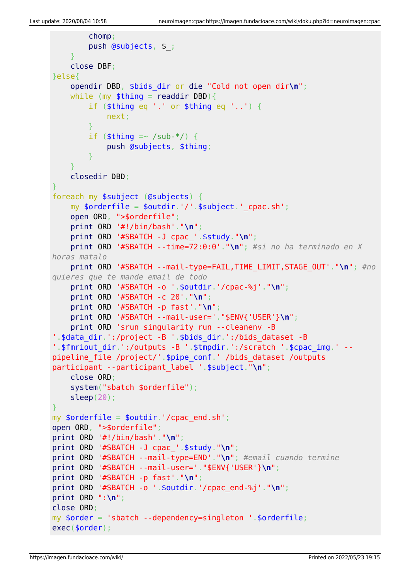```
 chomp;
         push @subjects, $_;
     }
     close DBF;
}else{
     opendir DBD, $bids_dir or die "Cold not open dir\n";
    while (my readdir DBD){}if ($thing eq \prime.' or $thing eq \prime..') {
             next;
         }
        if (\text{sthing} = \sim /sub-*/ ) {
             push @subjects, $thing;
         }
     }
     closedir DBD;
}
foreach my $subject (@subjects) {
    my \text{sortederfile} = \text{south}: '/'.\text{subject}' cpac.sh';
     open ORD, ">$orderfile";
     print ORD '#!/bin/bash'."\n";
     print ORD '#SBATCH -J cpac_'.$study."\n";
     print ORD '#SBATCH --time=72:0:0'."\n"; #si no ha terminado en X
horas matalo
     print ORD '#SBATCH --mail-type=FAIL,TIME_LIMIT,STAGE_OUT'."\n"; #no
quieres que te mande email de todo
     print ORD '#SBATCH -o '.$outdir.'/cpac-%j'."\n";
     print ORD '#SBATCH -c 20'."\n";
     print ORD '#SBATCH -p fast'."\n";
     print ORD '#SBATCH --mail-user='."$ENV{'USER'}\n";
     print ORD 'srun singularity run --cleanenv -B
'.$data_dir.':/project -B '.$bids_dir.':/bids_dataset -B
'.$fmriout_dir.':/outputs -B '.$tmpdir.':/scratch '.$cpac_img.' --
pipeline_file /project/'.$pipe_conf.' /bids_dataset /outputs
participant --participant label '.$subject."\n";
     close ORD;
     system("sbatch $orderfile");
     sleep(20);
}
my $orderfile = $outdir.'/cpac end.sh';
open ORD, ">$orderfile";
print ORD '#!/bin/bash'."\n";
print ORD '#SBATCH -J cpac_'.$study."\n";
print ORD '#SBATCH --mail-type=END'."\n"; #email cuando termine
print ORD '#SBATCH --mail-user='."$ENV{'USER'}\n";
print ORD '#SBATCH -p fast'."\n";
print ORD '#SBATCH -o '.$outdir.'/cpac_end-%j'."\n";
print ORD ":\n";
close ORD;
my $order = 'sbatch --dependency=singleton '.$orderfile;
exec($order);
```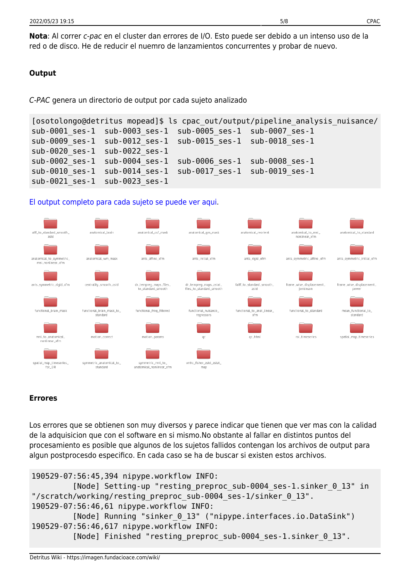**Nota**: Al correr c-pac en el cluster dan errores de I/O. Esto puede ser debido a un intenso uso de la red o de disco. He de reducir el nuemro de lanzamientos concurrentes y probar de nuevo.

### **Output**

C-PAC genera un directorio de output por cada sujeto analizado

```
[osotolongo@detritus mopead]$ ls cpac_out/output/pipeline_analysis_nuisance/
sub-0001_ses-1 sub-0003_ses-1 sub-0005_ses-1 sub-0007_ses-1
sub-0009_ses-1 sub-0012_ses-1 sub-0015_ses-1 sub-0018_ses-1
sub-0020_ses-1 sub-0022_ses-1
sub-0002_ses-1 sub-0004_ses-1 sub-0006_ses-1 sub-0008_ses-1
sub-0010_ses-1 sub-0014_ses-1 sub-0017_ses-1 sub-0019_ses-1
sub-0021_ses-1 sub-0023_ses-1
```
### [El output completo para cada sujeto se puede ver aqui.](http://detritus.fundacioace.com/files/example_cpac_out.txt)



### **Errores**

Los errores que se obtienen son muy diversos y parece indicar que tienen que ver mas con la calidad de la adquisicion que con el software en si mismo.No obstante al fallar en distintos puntos del procesamiento es posible que algunos de los sujetos fallidos contengan los archivos de output para algun postprocesdo especifico. En cada caso se ha de buscar si existen estos archivos.

```
190529-07:56:45,394 nipype.workflow INFO:
          [Node] Setting-up "resting_preproc_sub-0004_ses-1.sinker_0_13" in
"/scratch/working/resting_preproc_sub-0004_ses-1/sinker_0_13".
190529-07:56:46,61 nipype.workflow INFO:
          [Node] Running "sinker_0_13" ("nipype.interfaces.io.DataSink")
190529-07:56:46,617 nipype.workflow INFO:
          [Node] Finished "resting_preproc_sub-0004_ses-1.sinker_0_13".
```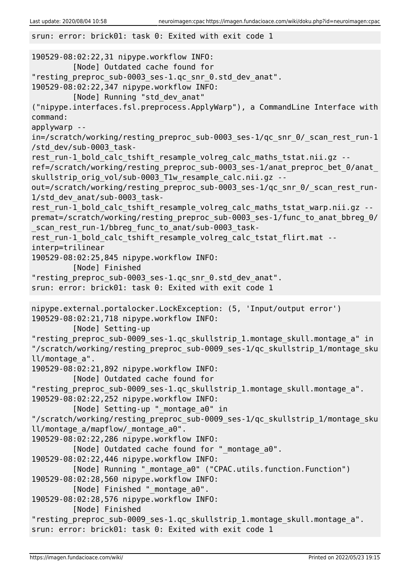srun: error: brick01: task 0: Exited with exit code 1 190529-08:02:22,31 nipype.workflow INFO: [Node] Outdated cache found for "resting\_preproc\_sub-0003\_ses-1.qc\_snr\_0.std\_dev\_anat". 190529-08:02:22,347 nipype.workflow INFO: [Node] Running "std\_dev\_anat" ("nipype.interfaces.fsl.preprocess.ApplyWarp"), a CommandLine Interface with command: applywarp - in=/scratch/working/resting\_preproc\_sub-0003\_ses-1/qc\_snr\_0/\_scan\_rest\_run-1 /std\_dev/sub-0003\_taskrest run-1 bold calc tshift resample volreg calc maths tstat.nii.gz -ref=/scratch/working/resting preproc\_sub-0003\_ses-1/anat\_preproc\_bet\_0/anat\_ skullstrip\_orig\_vol/sub-0003\_T1w\_resample\_calc.nii.gz -out=/scratch/working/resting preproc sub-0003 ses-1/qc snr 0/ scan rest run-1/std\_dev\_anat/sub-0003\_taskrest run-1 bold calc tshift resample volreg calc maths tstat warp.nii.gz -premat=/scratch/working/resting preproc\_sub-0003\_ses-1/func\_to\_anat\_bbreg\_0/ \_scan\_rest\_run-1/bbreg\_func\_to\_anat/sub-0003\_taskrest\_run-1\_bold\_calc\_tshift\_resample\_volreg\_calc\_tstat\_flirt.mat - interp=trilinear 190529-08:02:25,845 nipype.workflow INFO: [Node] Finished "resting\_preproc\_sub-0003\_ses-1.qc\_snr\_0.std\_dev\_anat". srun: error: brick01: task 0: Exited with exit code 1 nipype.external.portalocker.LockException: (5, 'Input/output error') 190529-08:02:21,718 nipype.workflow INFO: [Node] Setting-up "resting\_preproc\_sub-0009\_ses-1.qc\_skullstrip\_1.montage\_skull.montage\_a" in "/scratch/working/resting\_preproc\_sub-0009\_ses-1/qc\_skullstrip\_1/montage\_sku ll/montage\_a". 190529-08:02:21,892 nipype.workflow INFO: [Node] Outdated cache found for "resting\_preproc\_sub-0009\_ses-1.qc\_skullstrip\_1.montage\_skull.montage\_a". 190529-08:02:22,252 nipype.workflow INFO: [Node] Setting-up "\_montage\_a0" in "/scratch/working/resting\_preproc\_sub-0009\_ses-1/qc\_skullstrip\_1/montage\_sku ll/montage a/mapflow/ montage a0". 190529-08:02:22,286 nipype.workflow INFO: [Node] Outdated cache found for "\_montage\_a0". 190529-08:02:22,446 nipype.workflow INFO: [Node] Running " montage a0" ("CPAC.utils.function.Function") 190529-08:02:28,560 nipype.workflow INFO: [Node] Finished " montage a0". 190529-08:02:28,576 nipype.workflow INFO: [Node] Finished "resting\_preproc\_sub-0009\_ses-1.qc\_skullstrip\_1.montage\_skull.montage\_a". srun: error: brick01: task 0: Exited with exit code 1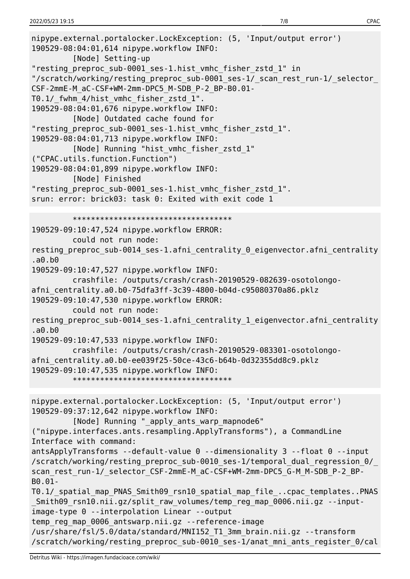```
nipype.external.portalocker.LockException: (5, 'Input/output error')
190529-08:04:01,614 nipype.workflow INFO:
          [Node] Setting-up
"resting preproc sub-0001 ses-1.hist vmhc fisher zstd 1" in
"/scratch/working/resting preproc sub-0001 ses-1/ scan rest run-1/ selector
CSF-2mmE-M_aC-CSF+WM-2mm-DPC5_M-SDB_P-2_BP-B0.01-
T0.1/_fwhm_4/hist_vmhc_fisher_zstd_1".
190529-08:04:01,676 nipype.workflow INFO:
          [Node] Outdated cache found for
"resting_preproc_sub-0001_ses-1.hist_vmhc_fisher_zstd_1".
190529-08:04:01,713 nipype.workflow INFO:
          [Node] Running "hist_vmhc_fisher_zstd_1"
("CPAC.utils.function.Function")
190529-08:04:01,899 nipype.workflow INFO:
          [Node] Finished
"resting_preproc_sub-0001_ses-1.hist_vmhc_fisher_zstd_1".
srun: error: brick03: task 0: Exited with exit code 1
          ***********************************
190529-09:10:47,524 nipype.workflow ERROR:
          could not run node:
resting_preproc_sub-0014_ses-1.afni_centrality_0_eigenvector.afni_centrality
.a0.b0
190529-09:10:47,527 nipype.workflow INFO:
          crashfile: /outputs/crash/crash-20190529-082639-osotolongo-
afni_centrality.a0.b0-75dfa3ff-3c39-4800-b04d-c95080370a86.pklz
190529-09:10:47,530 nipype.workflow ERROR:
          could not run node:
resting preproc sub-0014 ses-1.afni centrality 1 eigenvector.afni centrality
.a0.b0
190529-09:10:47,533 nipype.workflow INFO:
          crashfile: /outputs/crash/crash-20190529-083301-osotolongo-
afni centrality.a0.b0-ee039f25-50ce-43c6-b64b-0d32355dd8c9.pklz
190529-09:10:47,535 nipype.workflow INFO:
          ***********************************
nipype.external.portalocker.LockException: (5, 'Input/output error')
190529-09:37:12,642 nipype.workflow INFO:
         [Node] Running " apply ants warp mapnode6"
("nipype.interfaces.ants.resampling.ApplyTransforms"), a CommandLine
Interface with command:
antsApplyTransforms --default-value 0 --dimensionality 3 --float 0 --input
/scratch/working/resting_preproc_sub-0010_ses-1/temporal_dual_regression_0/_
scan_rest_run-1/_selector_CSF-2mmE-M_aC-CSF+WM-2mm-DPC5_G-M_M-SDB_P-2_BP-
B0.01-
T0.1/_spatial_map_PNAS_Smith09_rsn10_spatial_map_file_..cpac_templates..PNAS
Smith09 rsn10.nii.gz/split raw volumes/temp reg map 0006.nii.gz --input-
image-type 0 --interpolation Linear --output
temp_reg_map_0006_antswarp.nii.gz --reference-image
/usr/share/fsl/5.0/data/standard/MNI152_T1_3mm_brain.nii.gz --transform
/scratch/working/resting_preproc_sub-0010_ses-1/anat_mni_ants_register_0/cal
```